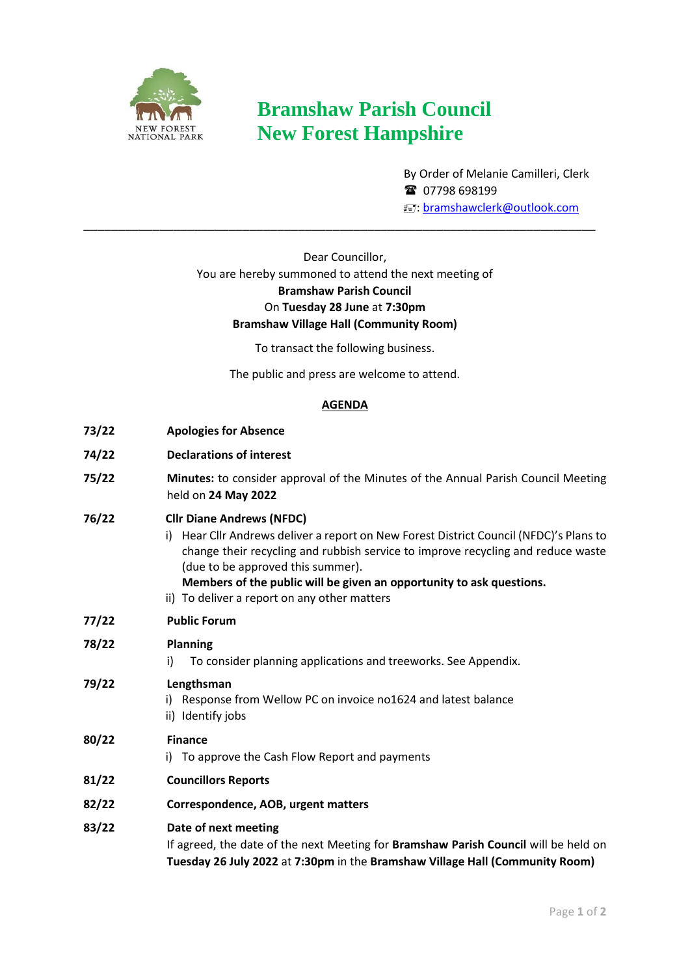

# **Bramshaw Parish Council New Forest Hampshire**

By Order of Melanie Camilleri, Clerk <sup>3</sup> 07798 698199 E: [bramshawclerk@outlook.com](mailto:bramshawclerk@outlook.com)

# Dear Councillor, You are hereby summoned to attend the next meeting of **Bramshaw Parish Council**  On **Tuesday 28 June** at **7:30pm Bramshaw Village Hall (Community Room)**

\_\_\_\_\_\_\_\_\_\_\_\_\_\_\_\_\_\_\_\_\_\_\_\_\_\_\_\_\_\_\_\_\_\_\_\_\_\_\_\_\_\_\_\_\_\_\_\_\_\_\_\_\_\_\_\_\_\_\_\_\_\_\_\_\_\_\_\_\_\_\_\_\_\_

To transact the following business.

The public and press are welcome to attend.

### **AGENDA**

| 73/22 | <b>Apologies for Absence</b>                                                                                                                                                                                                                                                                                                                                                   |
|-------|--------------------------------------------------------------------------------------------------------------------------------------------------------------------------------------------------------------------------------------------------------------------------------------------------------------------------------------------------------------------------------|
| 74/22 | <b>Declarations of interest</b>                                                                                                                                                                                                                                                                                                                                                |
| 75/22 | Minutes: to consider approval of the Minutes of the Annual Parish Council Meeting<br>held on 24 May 2022                                                                                                                                                                                                                                                                       |
| 76/22 | <b>Cllr Diane Andrews (NFDC)</b><br>Hear Cllr Andrews deliver a report on New Forest District Council (NFDC)'s Plans to<br>i)<br>change their recycling and rubbish service to improve recycling and reduce waste<br>(due to be approved this summer).<br>Members of the public will be given an opportunity to ask questions.<br>ii) To deliver a report on any other matters |
| 77/22 | <b>Public Forum</b>                                                                                                                                                                                                                                                                                                                                                            |
| 78/22 | <b>Planning</b><br>To consider planning applications and treeworks. See Appendix.<br>i)                                                                                                                                                                                                                                                                                        |
| 79/22 | Lengthsman<br>i) Response from Wellow PC on invoice no1624 and latest balance<br>ii) Identify jobs                                                                                                                                                                                                                                                                             |
| 80/22 | <b>Finance</b><br>To approve the Cash Flow Report and payments<br>i).                                                                                                                                                                                                                                                                                                          |
| 81/22 | <b>Councillors Reports</b>                                                                                                                                                                                                                                                                                                                                                     |
| 82/22 | Correspondence, AOB, urgent matters                                                                                                                                                                                                                                                                                                                                            |
| 83/22 | Date of next meeting<br>If agreed, the date of the next Meeting for Bramshaw Parish Council will be held on<br>Tuesday 26 July 2022 at 7:30pm in the Bramshaw Village Hall (Community Room)                                                                                                                                                                                    |